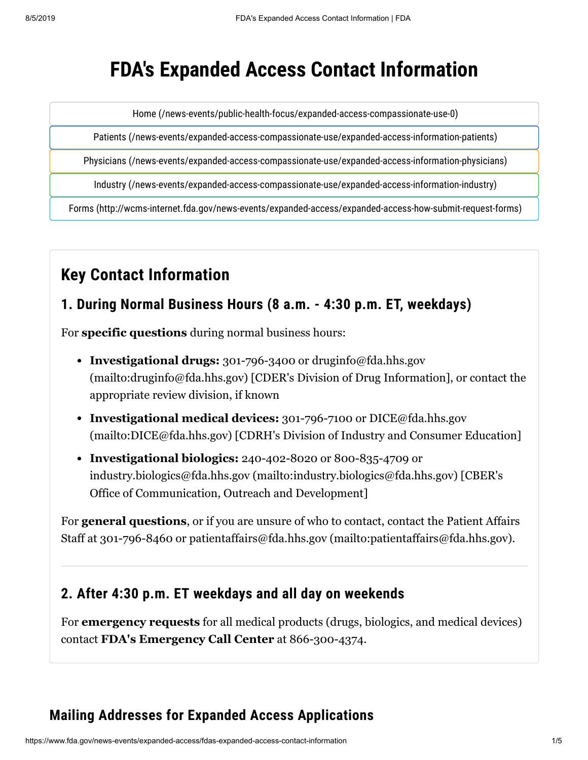# **FDA's Expanded Access Contact Information**

[Home \(/news-events/public-health-focus/expanded-access-compassionate-use-0\)](https://www.fda.gov/news-events/public-health-focus/expanded-access-compassionate-use-0)

[Patients \(/news-events/expanded-access-compassionate-use/expanded-access-information-patients\)](https://www.fda.gov/news-events/expanded-access-compassionate-use/expanded-access-information-patients)

[Physicians \(/news-events/expanded-access-compassionate-use/expanded-access-information-physicians\)](https://www.fda.gov/news-events/expanded-access-compassionate-use/expanded-access-information-physicians)

[Industry \(/news-events/expanded-access-compassionate-use/expanded-access-information-industry\)](https://www.fda.gov/news-events/expanded-access-compassionate-use/expanded-access-information-industry)

[Forms \(http://wcms-internet.fda.gov/news-events/expanded-access/expanded-access-how-submit-request-forms\)](http://wcms-internet.fda.gov/news-events/expanded-access/expanded-access-how-submit-request-forms)

## **Key Contact Information**

#### **1. During Normal Business Hours (8 a.m. - 4:30 p.m. ET, weekdays)**

For **specific questions** during normal business hours:

- **Investigational drugs:** 301-796-3400 or druginfo@fda.hhs.gov [\(mailto:druginfo@fda.hhs.gov\) \[CDER's Division of Drug Informa](mailto:druginfo@fda.hhs.gov)tion], or contact the appropriate [review division,](#page-1-0) if known
- **Investigational medical devices:** 301-796-7100 or DICE@fda.hhs.gov [\(mailto:DICE@fda.hhs.gov\) \[CDRH's Division of Industry and Consumer E](mailto:DICE@fda.hhs.gov)ducation]
- **Investigational biologics:** 240-402-8020 or 800-835-4709 or [industry.biologics@fda.hhs.gov \(mailto:industry.biologics@fda.hhs.gov\)](mailto:industry.biologics@fda.hhs.gov) [CBER's Office of Communication, Outreach and Development]

For **general questions**, or if you are unsure of who to contact, contact the Patient Affairs Staff at 301-796-8460 or [patientaffairs@fda.hhs.gov \(mailto:patientaffairs@fda.hhs.gov\).](mailto:patientaffairs@fda.hhs.gov)

#### **2. After 4:30 p.m. ET weekdays and all day on weekends**

For **emergency requests** for all medical products (drugs, biologics, and medical devices) contact **FDA's Emergency Call Center** at 866-300-4374.

### **Mailing Addresses for Expanded Access Applications**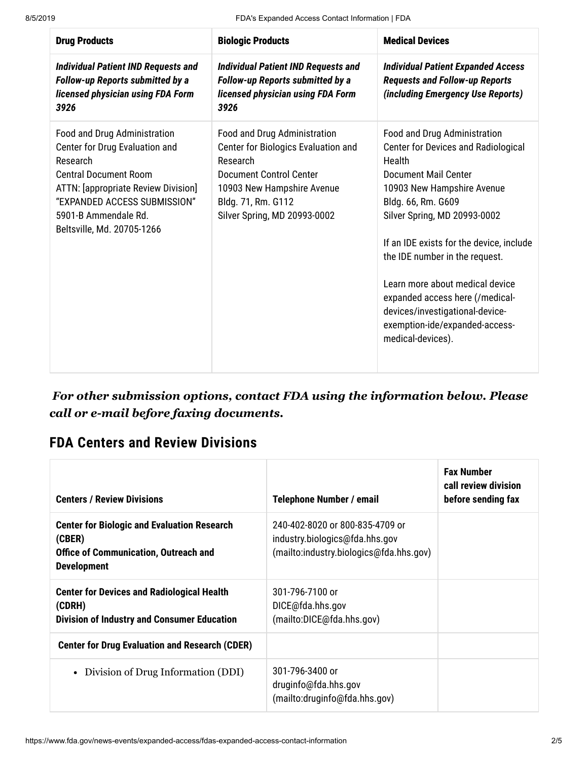| <b>Drug Products</b>                                                                                                                                                                                                                           | <b>Biologic Products</b>                                                                                                                                                                              | <b>Medical Devices</b>                                                                                                                                                                                                                                                                                                                                                                                                                                |
|------------------------------------------------------------------------------------------------------------------------------------------------------------------------------------------------------------------------------------------------|-------------------------------------------------------------------------------------------------------------------------------------------------------------------------------------------------------|-------------------------------------------------------------------------------------------------------------------------------------------------------------------------------------------------------------------------------------------------------------------------------------------------------------------------------------------------------------------------------------------------------------------------------------------------------|
| <b>Individual Patient IND Requests and</b><br><b>Follow-up Reports submitted by a</b><br>licensed physician using FDA Form<br>3926                                                                                                             | <b>Individual Patient IND Requests and</b><br><b>Follow-up Reports submitted by a</b><br>licensed physician using FDA Form<br>3926                                                                    | <b>Individual Patient Expanded Access</b><br><b>Requests and Follow-up Reports</b><br>(including Emergency Use Reports)                                                                                                                                                                                                                                                                                                                               |
| Food and Drug Administration<br>Center for Drug Evaluation and<br>Research<br><b>Central Document Room</b><br><b>ATTN:</b> [appropriate Review Division]<br>"EXPANDED ACCESS SUBMISSION"<br>5901-B Ammendale Rd.<br>Beltsville, Md. 20705-1266 | Food and Drug Administration<br>Center for Biologics Evaluation and<br>Research<br><b>Document Control Center</b><br>10903 New Hampshire Avenue<br>Bldg. 71, Rm. G112<br>Silver Spring, MD 20993-0002 | Food and Drug Administration<br><b>Center for Devices and Radiological</b><br>Health<br><b>Document Mail Center</b><br>10903 New Hampshire Avenue<br>Bldg. 66, Rm. G609<br>Silver Spring, MD 20993-0002<br>If an IDE exists for the device, include<br>the IDE number in the request.<br>Learn more about medical device<br>expanded access here (/medical-<br>devices/investigational-device-<br>exemption-ide/expanded-access-<br>medical-devices). |

 *For other submission options, contact FDA using the information below. Please call or e-mail before faxing documents.*

### <span id="page-1-0"></span>**FDA Centers and Review Divisions**

| <b>Centers / Review Divisions</b>                                                                                                  | <b>Telephone Number / email</b>                                                                              | <b>Fax Number</b><br>call review division<br>before sending fax |
|------------------------------------------------------------------------------------------------------------------------------------|--------------------------------------------------------------------------------------------------------------|-----------------------------------------------------------------|
| <b>Center for Biologic and Evaluation Research</b><br>(CBER)<br><b>Office of Communication, Outreach and</b><br><b>Development</b> | 240-402-8020 or 800-835-4709 or<br>industry.biologics@fda.hhs.gov<br>(mailto:industry.biologics@fda.hhs.gov) |                                                                 |
| <b>Center for Devices and Radiological Health</b><br>(CDRH)<br><b>Division of Industry and Consumer Education</b>                  | 301-796-7100 or<br>DICE@fda.hhs.gov<br>(mailto:DICE@fda.hhs.gov)                                             |                                                                 |
| <b>Center for Drug Evaluation and Research (CDER)</b>                                                                              |                                                                                                              |                                                                 |
| Division of Drug Information (DDI)<br>$\bullet$                                                                                    | 301-796-3400 or<br>druginfo@fda.hhs.gov<br>(mailto:druginfo@fda.hhs.gov)                                     |                                                                 |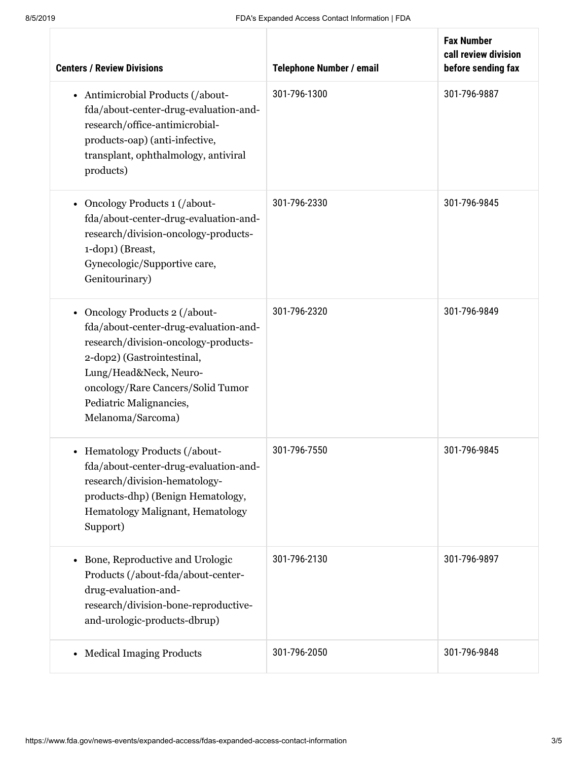| <b>Centers / Review Divisions</b>                                                                                                                                                                                                                            | <b>Telephone Number / email</b> | <b>Fax Number</b><br>call review division<br>before sending fax |
|--------------------------------------------------------------------------------------------------------------------------------------------------------------------------------------------------------------------------------------------------------------|---------------------------------|-----------------------------------------------------------------|
| • Antimicrobial Products (/about-<br>fda/about-center-drug-evaluation-and-<br>research/office-antimicrobial-<br>products-oap) (anti-infective,<br>transplant, ophthalmology, antiviral<br>products)                                                          | 301-796-1300                    | 301-796-9887                                                    |
| Oncology Products 1 (/about-<br>fda/about-center-drug-evaluation-and-<br>research/division-oncology-products-<br>1-dop1) (Breast,<br>Gynecologic/Supportive care,<br>Genitourinary)                                                                          | 301-796-2330                    | 301-796-9845                                                    |
| • Oncology Products 2 (/about-<br>fda/about-center-drug-evaluation-and-<br>research/division-oncology-products-<br>2-dop2) (Gastrointestinal,<br>Lung/Head&Neck, Neuro-<br>oncology/Rare Cancers/Solid Tumor<br>Pediatric Malignancies,<br>Melanoma/Sarcoma) | 301-796-2320                    | 301-796-9849                                                    |
| • Hematology Products (/about-<br>fda/about-center-drug-evaluation-and-<br>research/division-hematology-<br>products-dhp) (Benign Hematology,<br>Hematology Malignant, Hematology<br>Support)                                                                | 301-796-7550                    | 301-796-9845                                                    |
| Bone, Reproductive and Urologic<br>Products (/about-fda/about-center-<br>drug-evaluation-and-<br>research/division-bone-reproductive-<br>and-urologic-products-dbrup)                                                                                        | 301-796-2130                    | 301-796-9897                                                    |
| <b>Medical Imaging Products</b>                                                                                                                                                                                                                              | 301-796-2050                    | 301-796-9848                                                    |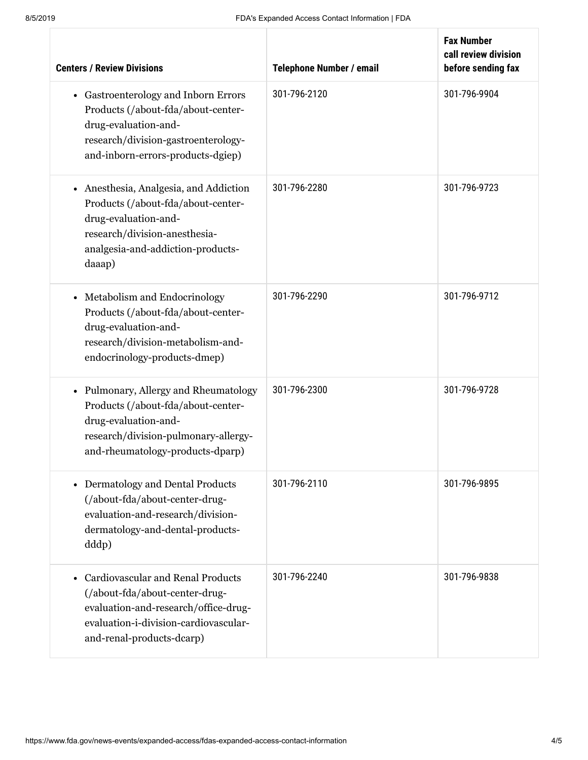| <b>Centers / Review Divisions</b>                                                                                                                                                        | <b>Telephone Number / email</b> | <b>Fax Number</b><br>call review division<br>before sending fax |
|------------------------------------------------------------------------------------------------------------------------------------------------------------------------------------------|---------------------------------|-----------------------------------------------------------------|
| • Gastroenterology and Inborn Errors<br>Products (/about-fda/about-center-<br>drug-evaluation-and-<br>research/division-gastroenterology-<br>and-inborn-errors-products-dgiep)           | 301-796-2120                    | 301-796-9904                                                    |
| • Anesthesia, Analgesia, and Addiction<br>Products (/about-fda/about-center-<br>drug-evaluation-and-<br>research/division-anesthesia-<br>analgesia-and-addiction-products-<br>daaap)     | 301-796-2280                    | 301-796-9723                                                    |
| Metabolism and Endocrinology<br>Products (/about-fda/about-center-<br>drug-evaluation-and-<br>research/division-metabolism-and-<br>endocrinology-products-dmep)                          | 301-796-2290                    | 301-796-9712                                                    |
| • Pulmonary, Allergy and Rheumatology<br>Products (/about-fda/about-center-<br>drug-evaluation-and-<br>research/division-pulmonary-allergy-<br>and-rheumatology-products-dparp)          | 301-796-2300                    | 301-796-9728                                                    |
| • Dermatology and Dental Products<br>(/about-fda/about-center-drug-<br>evaluation-and-research/division-<br>dermatology-and-dental-products-<br>ddd <sub>p</sub> )                       | 301-796-2110                    | 301-796-9895                                                    |
| <b>Cardiovascular and Renal Products</b><br>(/about-fda/about-center-drug-<br>evaluation-and-research/office-drug-<br>evaluation-i-division-cardiovascular-<br>and-renal-products-dcarp) | 301-796-2240                    | 301-796-9838                                                    |